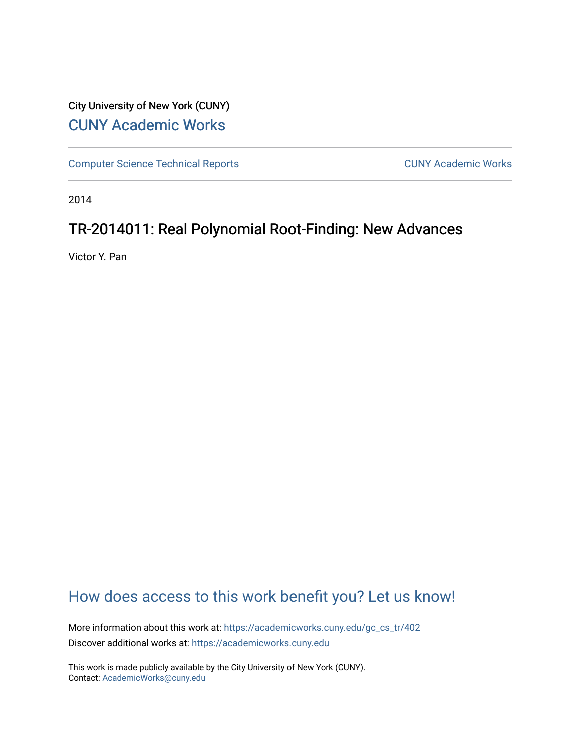## City University of New York (CUNY) [CUNY Academic Works](https://academicworks.cuny.edu/)

[Computer Science Technical Reports](https://academicworks.cuny.edu/gc_cs_tr) **CUNY Academic Works** CUNY Academic Works

2014

## TR-2014011: Real Polynomial Root-Finding: New Advances

Victor Y. Pan

# [How does access to this work benefit you? Let us know!](http://ols.cuny.edu/academicworks/?ref=https://academicworks.cuny.edu/gc_cs_tr/402)

More information about this work at: [https://academicworks.cuny.edu/gc\\_cs\\_tr/402](https://academicworks.cuny.edu/gc_cs_tr/402)  Discover additional works at: [https://academicworks.cuny.edu](https://academicworks.cuny.edu/?)

This work is made publicly available by the City University of New York (CUNY). Contact: [AcademicWorks@cuny.edu](mailto:AcademicWorks@cuny.edu)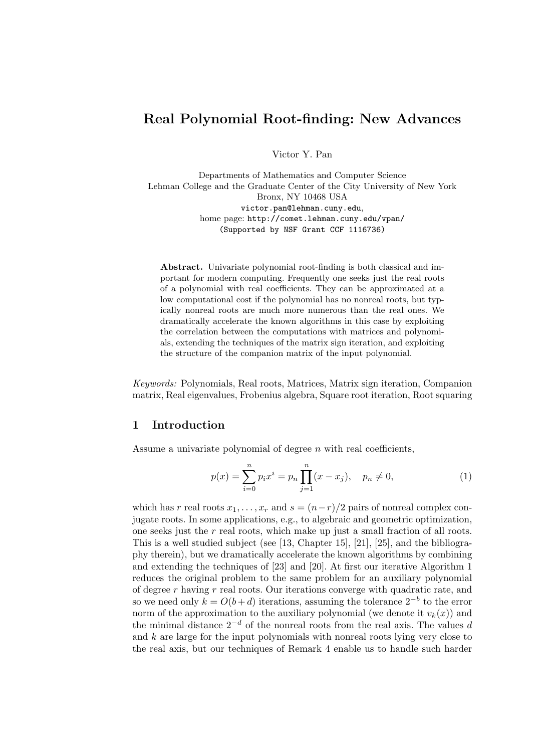## Real Polynomial Root-finding: New Advances

Victor Y. Pan

Departments of Mathematics and Computer Science Lehman College and the Graduate Center of the City University of New York Bronx, NY 10468 USA victor.pan@lehman.cuny.edu, home page: http://comet.lehman.cuny.edu/vpan/ (Supported by NSF Grant CCF 1116736)

Abstract. Univariate polynomial root-finding is both classical and important for modern computing. Frequently one seeks just the real roots of a polynomial with real coefficients. They can be approximated at a low computational cost if the polynomial has no nonreal roots, but typically nonreal roots are much more numerous than the real ones. We dramatically accelerate the known algorithms in this case by exploiting the correlation between the computations with matrices and polynomials, extending the techniques of the matrix sign iteration, and exploiting the structure of the companion matrix of the input polynomial.

Keywords: Polynomials, Real roots, Matrices, Matrix sign iteration, Companion matrix, Real eigenvalues, Frobenius algebra, Square root iteration, Root squaring

#### 1 Introduction

Assume a univariate polynomial of degree  $n$  with real coefficients,

$$
p(x) = \sum_{i=0}^{n} p_i x^i = p_n \prod_{j=1}^{n} (x - x_j), \quad p_n \neq 0,
$$
 (1)

which has r real roots  $x_1, \ldots, x_r$  and  $s = (n-r)/2$  pairs of nonreal complex conjugate roots. In some applications, e.g., to algebraic and geometric optimization, one seeks just the  $r$  real roots, which make up just a small fraction of all roots. This is a well studied subject (see [13, Chapter 15], [21], [25], and the bibliography therein), but we dramatically accelerate the known algorithms by combining and extending the techniques of [23] and [20]. At first our iterative Algorithm 1 reduces the original problem to the same problem for an auxiliary polynomial of degree  $r$  having  $r$  real roots. Our iterations converge with quadratic rate, and so we need only  $k = O(b+d)$  iterations, assuming the tolerance  $2^{-b}$  to the error norm of the approximation to the auxiliary polynomial (we denote it  $v_k(x)$ ) and the minimal distance  $2^{-d}$  of the nonreal roots from the real axis. The values d and  $k$  are large for the input polynomials with nonreal roots lying very close to the real axis, but our techniques of Remark 4 enable us to handle such harder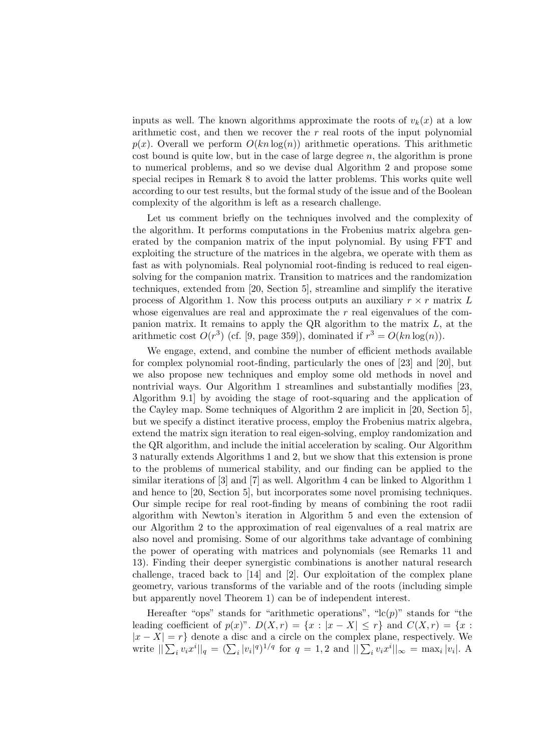inputs as well. The known algorithms approximate the roots of  $v_k(x)$  at a low arithmetic cost, and then we recover the  $r$  real roots of the input polynomial  $p(x)$ . Overall we perform  $O(kn \log(n))$  arithmetic operations. This arithmetic cost bound is quite low, but in the case of large degree  $n$ , the algorithm is prone to numerical problems, and so we devise dual Algorithm 2 and propose some special recipes in Remark 8 to avoid the latter problems. This works quite well according to our test results, but the formal study of the issue and of the Boolean complexity of the algorithm is left as a research challenge.

Let us comment briefly on the techniques involved and the complexity of the algorithm. It performs computations in the Frobenius matrix algebra generated by the companion matrix of the input polynomial. By using FFT and exploiting the structure of the matrices in the algebra, we operate with them as fast as with polynomials. Real polynomial root-finding is reduced to real eigensolving for the companion matrix. Transition to matrices and the randomization techniques, extended from [20, Section 5], streamline and simplify the iterative process of Algorithm 1. Now this process outputs an auxiliary  $r \times r$  matrix L whose eigenvalues are real and approximate the  $r$  real eigenvalues of the companion matrix. It remains to apply the QR algorithm to the matrix  $L$ , at the arithmetic cost  $O(r^3)$  (cf. [9, page 359]), dominated if  $r^3 = O(kn \log(n))$ .

We engage, extend, and combine the number of efficient methods available for complex polynomial root-finding, particularly the ones of [23] and [20], but we also propose new techniques and employ some old methods in novel and nontrivial ways. Our Algorithm 1 streamlines and substantially modifies [23, Algorithm 9.1] by avoiding the stage of root-squaring and the application of the Cayley map. Some techniques of Algorithm 2 are implicit in [20, Section 5], but we specify a distinct iterative process, employ the Frobenius matrix algebra, extend the matrix sign iteration to real eigen-solving, employ randomization and the QR algorithm, and include the initial acceleration by scaling. Our Algorithm 3 naturally extends Algorithms 1 and 2, but we show that this extension is prone to the problems of numerical stability, and our finding can be applied to the similar iterations of [3] and [7] as well. Algorithm 4 can be linked to Algorithm 1 and hence to [20, Section 5], but incorporates some novel promising techniques. Our simple recipe for real root-finding by means of combining the root radii algorithm with Newton's iteration in Algorithm 5 and even the extension of our Algorithm 2 to the approximation of real eigenvalues of a real matrix are also novel and promising. Some of our algorithms take advantage of combining the power of operating with matrices and polynomials (see Remarks 11 and 13). Finding their deeper synergistic combinations is another natural research challenge, traced back to [14] and [2]. Our exploitation of the complex plane geometry, various transforms of the variable and of the roots (including simple but apparently novel Theorem 1) can be of independent interest.

Hereafter "ops" stands for "arithmetic operations", " $lc(p)$ " stands for "the leading coefficient of  $p(x)$ ".  $D(X,r) = \{x : |x - X| \leq r\}$  and  $C(X,r) = \{x :$  $|x - X| = r$  denote a disc and a circle on the complex plane, respectively. We write  $\|\sum_i v_i x^i\|_q = (\sum_i |v_i|^q)^{1/q}$  for  $q = 1, 2$  and  $\|\sum_i v_i x^i\|_{\infty} = \max_i |v_i|$ . A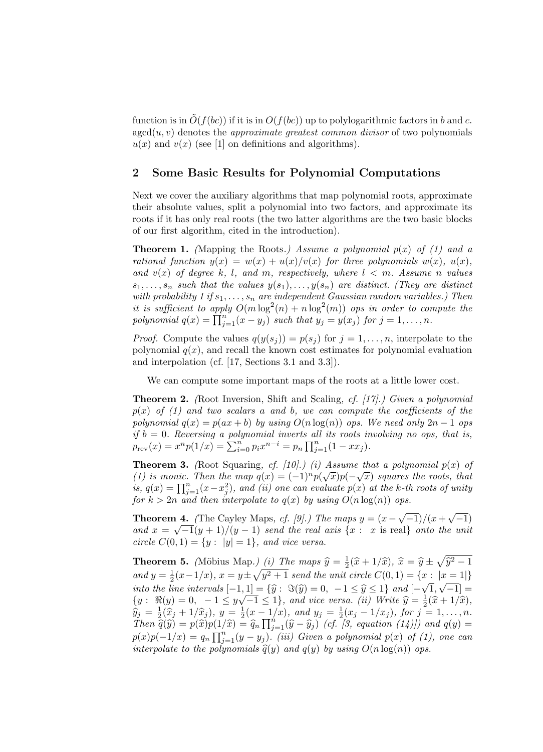function is in  $\tilde{O}(f(bc))$  if it is in  $O(f(bc))$  up to polylogarithmic factors in b and c.  $\text{agcd}(u, v)$  denotes the *approximate greatest common divisor* of two polynomials  $u(x)$  and  $v(x)$  (see [1] on definitions and algorithms).

## 2 Some Basic Results for Polynomial Computations

Next we cover the auxiliary algorithms that map polynomial roots, approximate their absolute values, split a polynomial into two factors, and approximate its roots if it has only real roots (the two latter algorithms are the two basic blocks of our first algorithm, cited in the introduction).

**Theorem 1.** (Mapping the Roots.) Assume a polynomial  $p(x)$  of (1) and a rational function  $y(x) = w(x) + u(x)/v(x)$  for three polynomials  $w(x)$ ,  $u(x)$ , and  $v(x)$  of degree k, l, and m, respectively, where  $l < m$ . Assume n values  $s_1, \ldots, s_n$  such that the values  $y(s_1), \ldots, y(s_n)$  are distinct. (They are distinct with probability 1 if  $s_1, \ldots, s_n$  are independent Gaussian random variables.) Then it is sufficient to apply  $O(m \log^2(n) + n \log^2(m))$  ops in order to compute the polynomial  $q(x) = \prod_{j=1}^{n} (x - y_j)$  such that  $y_j = y(x_j)$  for  $j = 1, ..., n$ .

*Proof.* Compute the values  $q(y(s_i)) = p(s_i)$  for  $j = 1, ..., n$ , interpolate to the polynomial  $q(x)$ , and recall the known cost estimates for polynomial evaluation and interpolation (cf. [17, Sections 3.1 and 3.3]).

We can compute some important maps of the roots at a little lower cost.

Theorem 2. (Root Inversion, Shift and Scaling, cf. [17].) Given a polynomial  $p(x)$  of (1) and two scalars a and b, we can compute the coefficients of the polynomial  $q(x) = p(ax + b)$  by using  $O(n \log(n))$  ops. We need only  $2n - 1$  ops if  $b = 0$ . Reversing a polynomial inverts all its roots involving no ops, that is,  $p_{\text{rev}}(x) = x^n p(1/x) = \sum_{i=0}^n p_i x^{n-i} = p_n \prod_{j=1}^n (1 - xx_j).$ 

**Theorem 3.** (Root Squaring, cf. [10].) (i) Assume that a polynomial  $p(x)$  of (1) is monic. Then the map  $q(x) = (-1)^n p(\sqrt{x})p(-\sqrt{x})$  squares the roots, that is,  $q(x) = \prod_{j=1}^{n} (x - x_j^2)$ , and (ii) one can evaluate  $p(x)$  at the k-th roots of unity for  $k > 2n$  and then interpolate to  $q(x)$  by using  $O(n \log(n))$  ops.

**Theorem 4.** (The Cayley Maps, *cf.* [9].) The maps  $y = (x - \sqrt{-1})/(x + \sqrt{-1})$ and  $x = \sqrt{-1}(y+1)/(y-1)$  send the real axis  $\{x : x \text{ is real}\}\$  onto the unit circle  $C(0, 1) = \{y : |y| = 1\}$ , and vice versa.

**Theorem 5.** (Möbius Map.) (i) The maps  $\hat{y} = \frac{1}{2}(\hat{x} + 1/\hat{x})$ ,  $\hat{x} = \hat{y} \pm \sqrt{\hat{y}^2 - 1}$ and  $y = \frac{1}{2}(x-1/x)$ ,  $x = y \pm \sqrt{y^2+1}$  send the unit circle  $C(0, 1) = \{x : |x = 1|\}$ into the line intervals  $[-1, 1] = \{\hat{y} : \Im(\hat{y}) = 0, -1 \leq \hat{y} \leq 1\}$  and  $[-1, 1] = \{\hat{y} : \Im(\hat{y}) = 0, -1 \leq \hat{y} \leq 1\}$  and  $[-1, 1] = \{\hat{y} : \Im(\hat{y}) = 0, -1 \leq \hat{y} \leq 1\}$ √  $\frac{1}{1}, \frac{1}{\sqrt{-1}}$  = *which the vine whereas*  $[-1, 1] = \{y : \Im(y) = 0, -1 \le y \le 1\}$  and  $[-\sqrt{1}, \sqrt{-1}] = \{y : \Re(y) = 0, -1 \le y\sqrt{-1} \le 1\}$ , and vice versa. (*ii*) *Write*  $\hat{y} = \frac{1}{2}(\hat{x} + 1/\hat{x})$ ,  $\hat{y} = -\frac{1}{2}(\hat{x} + 1/\hat{x})$ ,  $\hat{y} = -\frac{1}{2}(\hat{x} + 1/\hat{x})$  $\hat{y}_j = \frac{1}{2}(\hat{x}_j + 1/\hat{x}_j), y = \frac{1}{2}(x - 1/x), \text{ and } y_j = \frac{1}{2}(x_j - 1/x_j), \text{ for } j = 1, ..., n.$ <br>Then  $\hat{z}(\hat{x}) = z(\hat{x})\gamma(1/\hat{x}) = \hat{z} \prod^{n} (\hat{x} - \hat{x}) \gamma(s)$  (of  $\hat{z}$  contains (1)) and  $z(x) =$ Then  $\widehat{\tilde{q}}(\tilde{y}) = p(\hat{x})p(1/\hat{x}) = \widehat{q}_n \prod_{j=1}^n (\widehat{y} - \widehat{y}_j)$  (cf. [3, equation (14)]) and  $q(y) = p(x)p(y)$  $p(x)p(-1/x) = q_n \prod_{j=1}^n (y-y_j)$ . (iii) Given a polynomial  $p(x)$  of (1), one can interpolate to the polynomials  $\hat{q}(y)$  and  $q(y)$  by using  $O(n \log(n))$  ops.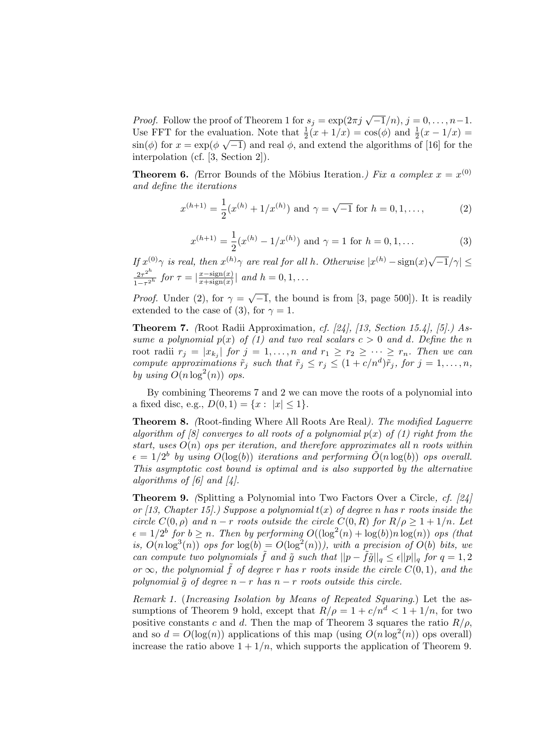*Proof.* Follow the proof of Theorem 1 for  $s_j = \exp(2\pi j \sqrt{-1}/n)$ ,  $j = 0, \ldots, n-1$ . Use FFT for the evaluation. Note that  $\frac{1}{2}(x+1/x) = \cos(\phi)$  and  $\frac{1}{2}(x-1/x) =$  $\sin(\phi)$  for  $x = \exp(\phi \sqrt{-1})$  and real  $\phi$ , and extend the algorithms of [16] for the interpolation (cf. [3, Section 2]).

**Theorem 6.** (Error Bounds of the Möbius Iteration.) Fix a complex  $x = x^{(0)}$ and define the iterations

$$
x^{(h+1)} = \frac{1}{2}(x^{(h)} + 1/x^{(h)}) \text{ and } \gamma = \sqrt{-1} \text{ for } h = 0, 1, ...,
$$
 (2)

$$
x^{(h+1)} = \frac{1}{2}(x^{(h)} - 1/x^{(h)})
$$
 and  $\gamma = 1$  for  $h = 0, 1, ...$  (3)

If  $x^{(0)}\gamma$  is real, then  $x^{(h)}\gamma$  are real for all h. Otherwise  $|x^{(h)} - \text{sign}(x)\sqrt{-1}/\gamma| \leq$  $2\tau^{2^h}$  $\frac{2\tau^{2^{n}}}{1-\tau^{2^{h}}}$  for  $\tau = |\frac{x-\text{sign}(x)}{x+\text{sign}(x)}|$  $\frac{x-\text{sign}(x)}{x+\text{sign}(x)}$  and  $h=0,1,\ldots$ 

*Proof.* Under (2), for  $\gamma = \sqrt{-1}$ , the bound is from [3, page 500]). It is readily extended to the case of (3), for  $\gamma = 1$ .

Theorem 7. (Root Radii Approximation, cf. [24], [13, Section 15.4], [5].) Assume a polynomial  $p(x)$  of (1) and two real scalars  $c > 0$  and d. Define the n root radii  $r_j = |x_{k_j}|$  for  $j = 1, ..., n$  and  $r_1 \ge r_2 \ge \cdots \ge r_n$ . Then we can compute approximations  $\tilde{r}_j$  such that  $\tilde{r}_j \leq r_j \leq (1 + c/n^d)\tilde{r}_j$ , for  $j = 1, \ldots, n$ , by using  $O(n \log^2(n))$  ops.

By combining Theorems 7 and 2 we can move the roots of a polynomial into a fixed disc, e.g.,  $D(0, 1) = \{x : |x| \le 1\}.$ 

Theorem 8. (Root-finding Where All Roots Are Real). The modified Laguerre algorithm of  $\delta$  converges to all roots of a polynomial  $p(x)$  of (1) right from the start, uses  $O(n)$  ops per iteration, and therefore approximates all n roots within  $\epsilon = 1/2^b$  by using  $O(\log(b))$  iterations and performing  $\tilde{O}(n \log(b))$  ops overall. This asymptotic cost bound is optimal and is also supported by the alternative algorithms of  $\lceil 6 \rceil$  and  $\lceil 4 \rceil$ .

Theorem 9. (Splitting a Polynomial into Two Factors Over a Circle, cf. [24] or [13, Chapter 15].) Suppose a polynomial  $t(x)$  of degree n has r roots inside the circle  $C(0, \rho)$  and  $n-r$  roots outside the circle  $C(0, R)$  for  $R/\rho \geq 1+1/n$ . Let  $\epsilon = 1/2^b$  for  $b \geq n$ . Then by performing  $O((\log^2(n) + \log(b))n \log(n))$  ops (that is,  $O(n \log^3(n))$  ops for  $\log(b) = O(\log^2(n))$ , with a precision of  $O(b)$  bits, we can compute two polynomials  $\tilde{f}$  and  $\tilde{g}$  such that  $||p - \tilde{f}\tilde{g}||_q \leq \epsilon ||p||_q$  for  $q = 1, 2$ or  $\infty$ , the polynomial  $\tilde{f}$  of degree r has r roots inside the circle  $C(0,1)$ , and the polynomial  $\tilde{q}$  of degree  $n - r$  has  $n - r$  roots outside this circle.

Remark 1. (Increasing Isolation by Means of Repeated Squaring.) Let the assumptions of Theorem 9 hold, except that  $R/\rho = 1 + c/n^d < 1 + 1/n$ , for two positive constants c and d. Then the map of Theorem 3 squares the ratio  $R/\rho$ , and so  $d = O(\log(n))$  applications of this map (using  $O(n \log^2(n))$  ops overall) increase the ratio above  $1 + 1/n$ , which supports the application of Theorem 9.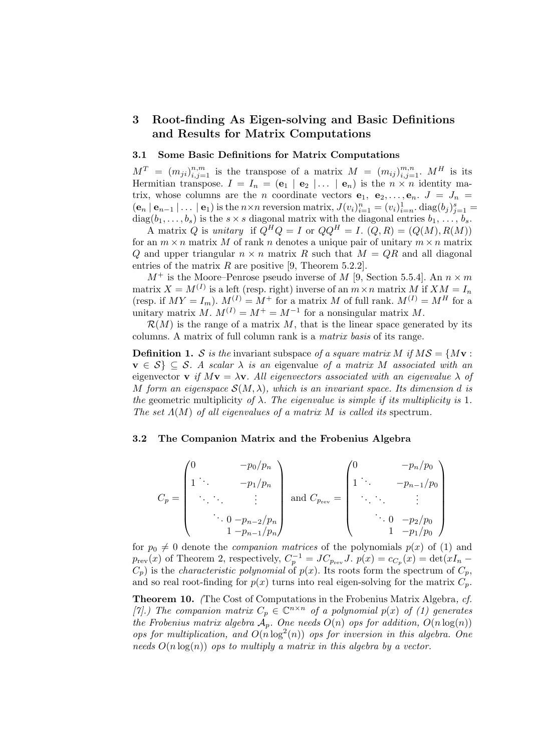### 3 Root-finding As Eigen-solving and Basic Definitions and Results for Matrix Computations

#### 3.1 Some Basic Definitions for Matrix Computations

 $M^T = (m_{ji})_{i,j=1}^{n,m}$  is the transpose of a matrix  $M = (m_{ij})_{i,j=1}^{m,n}$ .  $M^H$  is its Hermitian transpose.  $I = I_n = (e_1 \mid e_2 \mid \dots \mid e_n)$  is the  $n \times n$  identity matrix, whose columns are the *n* coordinate vectors  $e_1, e_2, \ldots, e_n$ .  $J = J_n$  $(\mathbf{e}_n | \mathbf{e}_{n-1} | \dots | \mathbf{e}_1)$  is the  $n \times n$  reversion matrix,  $J(v_i)_{i=1}^n = (v_i)_{i=n}^1$ .  $\text{diag}(b_j)_{j=1}^s =$  $diag(b_1, \ldots, b_s)$  is the  $s \times s$  diagonal matrix with the diagonal entries  $b_1, \ldots, b_s$ .

A matrix Q is unitary if  $\tilde{Q}^H Q = I$  or  $QQ^H = I$ .  $(Q, R) = (Q(M), R(M))$ for an  $m \times n$  matrix M of rank n denotes a unique pair of unitary  $m \times n$  matrix Q and upper triangular  $n \times n$  matrix R such that  $M = QR$  and all diagonal entries of the matrix  $R$  are positive [9, Theorem 5.2.2].

 $M^+$  is the Moore–Penrose pseudo inverse of M [9, Section 5.5.4]. An  $n \times m$ matrix  $X = M^{(I)}$  is a left (resp. right) inverse of an  $m \times n$  matrix M if  $XM = I_n$ (resp. if  $MY = I_m$ ).  $M^{(I)} = M^+$  for a matrix M of full rank.  $M^{(I)} = M^H$  for a unitary matrix  $M. M^{(I)} = M^+ = M^{-1}$  for a nonsingular matrix M.

 $\mathcal{R}(M)$  is the range of a matrix M, that is the linear space generated by its columns. A matrix of full column rank is a matrix basis of its range.

**Definition 1.** S is the invariant subspace of a square matrix M if  $MS = \{M\mathbf{v}:$  $\mathbf{v} \in \mathcal{S} \subseteq \mathcal{S}$ . A scalar  $\lambda$  is an eigenvalue of a matrix M associated with an eigenvector **v** if  $M$ **v** =  $\lambda$ **v**. All eigenvectors associated with an eigenvalue  $\lambda$  of M form an eigenspace  $\mathcal{S}(M, \lambda)$ , which is an invariant space. Its dimension d is the geometric multiplicity of  $\lambda$ . The eigenvalue is simple if its multiplicity is 1. The set  $\Lambda(M)$  of all eigenvalues of a matrix M is called its spectrum.

#### 3.2 The Companion Matrix and the Frobenius Algebra

$$
C_p = \begin{pmatrix} 0 & -p_0/p_n \\ 1 & \cdots & -p_1/p_n \\ \vdots & \ddots & \vdots \\ 0 & -p_{n-2}/p_n \\ 1 & -p_{n-1}/p_n \end{pmatrix} \text{ and } C_{p_{\text{rev}}} = \begin{pmatrix} 0 & -p_n/p_0 \\ 1 & \cdots & -p_{n-1}/p_0 \\ \vdots & \ddots & \vdots \\ 0 & -p_2/p_0 \\ 1 & -p_1/p_0 \end{pmatrix}
$$

for  $p_0 \neq 0$  denote the *companion matrices* of the polynomials  $p(x)$  of (1) and  $p_{rev}(x)$  of Theorem 2, respectively,  $C_p^{-1} = JC_{p_{rev}}J$ .  $p(x) = c_{C_p}(x) = \det(xI_n C_p$ ) is the *characteristic polynomial* of  $p(x)$ . Its roots form the spectrum of  $C_p$ , and so real root-finding for  $p(x)$  turns into real eigen-solving for the matrix  $C_p$ .

Theorem 10. (The Cost of Computations in the Frobenius Matrix Algebra, cf. [7].) The companion matrix  $C_p \in \mathbb{C}^{n \times n}$  of a polynomial  $p(x)$  of (1) generates the Frobenius matrix algebra  $A_p$ . One needs  $O(n)$  ops for addition,  $O(n \log(n))$ ops for multiplication, and  $O(n \log^2(n))$  ops for inversion in this algebra. One needs  $O(n \log(n))$  ops to multiply a matrix in this algebra by a vector.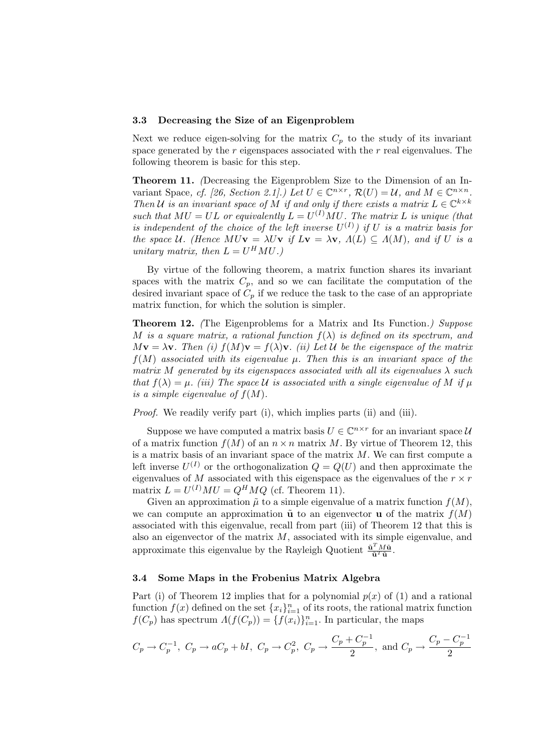#### 3.3 Decreasing the Size of an Eigenproblem

Next we reduce eigen-solving for the matrix  $C_p$  to the study of its invariant space generated by the  $r$  eigenspaces associated with the  $r$  real eigenvalues. The following theorem is basic for this step.

Theorem 11. (Decreasing the Eigenproblem Size to the Dimension of an Invariant Space, cf. [26, Section 2.1].) Let  $U \in \mathbb{C}^{n \times r}$ ,  $\mathcal{R}(U) = \mathcal{U}$ , and  $M \in \mathbb{C}^{n \times n}$ . Then U is an invariant space of M if and only if there exists a matrix  $L \in \mathbb{C}^{k \times k}$ such that  $MU = UL$  or equivalently  $L = U^{(I)}MU$ . The matrix L is unique (that is independent of the choice of the left inverse  $U^{(I)}$  if U is a matrix basis for the space U. (Hence MU $v = \lambda Uv$  if  $Lv = \lambda v$ ,  $\Lambda(L) \subseteq \Lambda(M)$ , and if U is a unitary matrix, then  $L = U^H M U$ .)

By virtue of the following theorem, a matrix function shares its invariant spaces with the matrix  $C_p$ , and so we can facilitate the computation of the desired invariant space of  $C_p$  if we reduce the task to the case of an appropriate matrix function, for which the solution is simpler.

Theorem 12. (The Eigenproblems for a Matrix and Its Function.) Suppose M is a square matrix, a rational function  $f(\lambda)$  is defined on its spectrum, and  $M\mathbf{v} = \lambda \mathbf{v}$ . Then (i)  $f(M)\mathbf{v} = f(\lambda)\mathbf{v}$ . (ii) Let U be the eigenspace of the matrix  $f(M)$  associated with its eigenvalue  $\mu$ . Then this is an invariant space of the matrix M generated by its eigenspaces associated with all its eigenvalues  $\lambda$  such that  $f(\lambda) = \mu$ . (iii) The space U is associated with a single eigenvalue of M if  $\mu$ is a simple eigenvalue of  $f(M)$ .

Proof. We readily verify part (i), which implies parts (ii) and (iii).

Suppose we have computed a matrix basis  $U \in \mathbb{C}^{n \times r}$  for an invariant space  $\mathcal{U}$ of a matrix function  $f(M)$  of an  $n \times n$  matrix M. By virtue of Theorem 12, this is a matrix basis of an invariant space of the matrix  $M$ . We can first compute a left inverse  $U^{(I)}$  or the orthogonalization  $Q = Q(U)$  and then approximate the eigenvalues of M associated with this eigenspace as the eigenvalues of the  $r \times r$ matrix  $L = U^{(I)}MU = Q^HMQ$  (cf. Theorem 11).

Given an approximation  $\tilde{\mu}$  to a simple eigenvalue of a matrix function  $f(M)$ , we can compute an approximation  $\tilde{\mathbf{u}}$  to an eigenvector **u** of the matrix  $f(M)$ associated with this eigenvalue, recall from part (iii) of Theorem 12 that this is also an eigenvector of the matrix  $M$ , associated with its simple eigenvalue, and approximate this eigenvalue by the Rayleigh Quotient  $\frac{\tilde{\mathbf{u}}^T M \tilde{\mathbf{u}}}{\tilde{\mathbf{u}}^T \tilde{\mathbf{u}}}$ .

#### 3.4 Some Maps in the Frobenius Matrix Algebra

Part (i) of Theorem 12 implies that for a polynomial  $p(x)$  of (1) and a rational function  $f(x)$  defined on the set  $\{x_i\}_{i=1}^n$  of its roots, the rational matrix function  $f(C_p)$  has spectrum  $\Lambda(f(C_p)) = \{f(x_i)\}_{i=1}^n$ . In particular, the maps

$$
C_p \to C_p^{-1}
$$
,  $C_p \to aC_p + bI$ ,  $C_p \to C_p^2$ ,  $C_p \to \frac{C_p + C_p^{-1}}{2}$ , and  $C_p \to \frac{C_p - C_p^{-1}}{2}$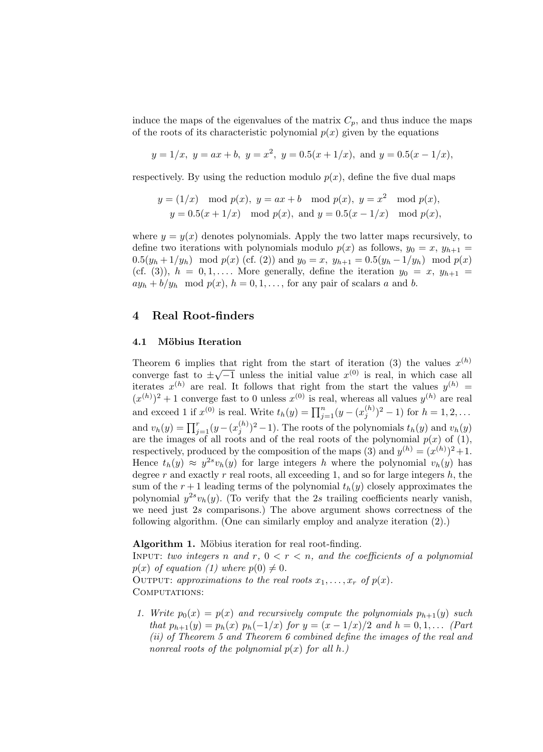induce the maps of the eigenvalues of the matrix  $C_p$ , and thus induce the maps of the roots of its characteristic polynomial  $p(x)$  given by the equations

$$
y = 1/x
$$
,  $y = ax + b$ ,  $y = x^2$ ,  $y = 0.5(x + 1/x)$ , and  $y = 0.5(x - 1/x)$ ,

respectively. By using the reduction modulo  $p(x)$ , define the five dual maps

$$
y = (1/x) \mod p(x), y = ax + b \mod p(x), y = x^2 \mod p(x),
$$
  
 $y = 0.5(x + 1/x) \mod p(x), \text{ and } y = 0.5(x - 1/x) \mod p(x),$ 

where  $y = y(x)$  denotes polynomials. Apply the two latter maps recursively, to define two iterations with polynomials modulo  $p(x)$  as follows,  $y_0 = x$ ,  $y_{h+1} =$  $0.5(y_h + 1/y_h) \mod p(x)$  (cf. (2)) and  $y_0 = x$ ,  $y_{h+1} = 0.5(y_h - 1/y_h) \mod p(x)$ (cf. (3)),  $h = 0, 1, \ldots$  More generally, define the iteration  $y_0 = x, y_{h+1} =$  $ay_h + b/y_h \mod p(x)$ ,  $h = 0, 1, \ldots$ , for any pair of scalars a and b.

#### 4 Real Root-finders

#### 4.1 Möbius Iteration

Theorem 6 implies that right from the start of iteration (3) the values  $x^{(h)}$ converge fast to  $\pm\sqrt{-1}$  unless the initial value  $x^{(0)}$  is real, in which case all iterates  $x^{(h)}$  are real. It follows that right from the start the values  $y^{(h)} =$  $(x^{(h)})^2 + 1$  converge fast to 0 unless  $x^{(0)}$  is real, whereas all values  $y^{(h)}$  are real and exceed 1 if  $x^{(0)}$  is real. Write  $t_h(y) = \prod_{j=1}^n (y - (x_j^{(h)})^2 - 1)$  for  $h = 1, 2, ...$ and  $v_h(y) = \prod_{j=1}^r (y - (x_j^{(h)})^2 - 1)$ . The roots of the polynomials  $t_h(y)$  and  $v_h(y)$ are the images of all roots and of the real roots of the polynomial  $p(x)$  of (1), respectively, produced by the composition of the maps (3) and  $y^{(h)} = (x^{(h)})^2 + 1$ . Hence  $t_h(y) \approx y^{2s} v_h(y)$  for large integers h where the polynomial  $v_h(y)$  has degree  $r$  and exactly  $r$  real roots, all exceeding 1, and so for large integers  $h$ , the sum of the  $r+1$  leading terms of the polynomial  $t<sub>h</sub>(y)$  closely approximates the polynomial  $y^{2s}v_h(y)$ . (To verify that the 2s trailing coefficients nearly vanish, we need just 2s comparisons.) The above argument shows correctness of the following algorithm. (One can similarly employ and analyze iteration (2).)

#### Algorithm 1. Möbius iteration for real root-finding.

INPUT: two integers n and r,  $0 < r < n$ , and the coefficients of a polynomial  $p(x)$  of equation (1) where  $p(0) \neq 0$ . OUTPUT: approximations to the real roots  $x_1, \ldots, x_r$  of  $p(x)$ .

COMPUTATIONS:

1. Write  $p_0(x) = p(x)$  and recursively compute the polynomials  $p_{h+1}(y)$  such that  $p_{h+1}(y) = p_h(x) p_h(-1/x)$  for  $y = (x - 1/x)/2$  and  $h = 0, 1, ...$  (Part (ii) of Theorem 5 and Theorem 6 combined define the images of the real and nonreal roots of the polynomial  $p(x)$  for all h.)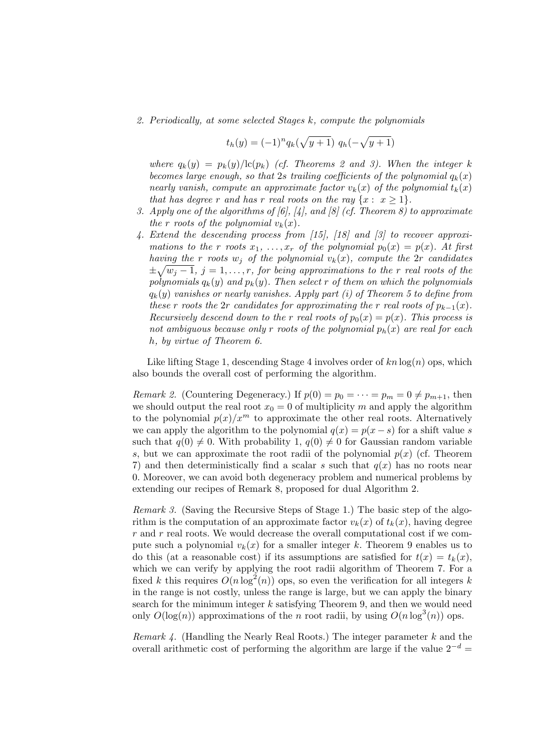2. Periodically, at some selected Stages k, compute the polynomials

$$
t_h(y) = (-1)^n q_k(\sqrt{y+1}) q_h(-\sqrt{y+1})
$$

where  $q_k(y) = p_k(y)/\text{lc}(p_k)$  (cf. Theorems 2 and 3). When the integer k becomes large enough, so that 2s trailing coefficients of the polynomial  $q_k(x)$ nearly vanish, compute an approximate factor  $v_k(x)$  of the polynomial  $t_k(x)$ that has degree r and has r real roots on the ray  $\{x: x \geq 1\}.$ 

- 3. Apply one of the algorithms of [6], [4], and [8] (cf. Theorem 8) to approximate the r roots of the polynomial  $v_k(x)$ .
- 4. Extend the descending process from [15], [18] and [3] to recover approximations to the r roots  $x_1, \ldots, x_r$  of the polynomial  $p_0(x) = p(x)$ . At first having the r roots  $w_i$  of the polynomial  $v_k(x)$ , compute the 2r candidates  $\pm \sqrt{w_j-1}$ ,  $j=1,\ldots,r$ , for being approximations to the r real roots of the polynomials  $q_k(y)$  and  $p_k(y)$ . Then select r of them on which the polynomials  $q_k(y)$  vanishes or nearly vanishes. Apply part (i) of Theorem 5 to define from these r roots the 2r candidates for approximating the r real roots of  $p_{k-1}(x)$ . Recursively descend down to the r real roots of  $p_0(x) = p(x)$ . This process is not ambiguous because only r roots of the polynomial  $p_h(x)$  are real for each h, by virtue of Theorem 6.

Like lifting Stage 1, descending Stage 4 involves order of  $kn \log(n)$  ops, which also bounds the overall cost of performing the algorithm.

*Remark 2.* (Countering Degeneracy.) If  $p(0) = p_0 = \cdots = p_m = 0 \neq p_{m+1}$ , then we should output the real root  $x_0 = 0$  of multiplicity m and apply the algorithm to the polynomial  $p(x)/x^m$  to approximate the other real roots. Alternatively we can apply the algorithm to the polynomial  $q(x) = p(x - s)$  for a shift value s such that  $q(0) \neq 0$ . With probability 1,  $q(0) \neq 0$  for Gaussian random variable s, but we can approximate the root radii of the polynomial  $p(x)$  (cf. Theorem 7) and then deterministically find a scalar s such that  $q(x)$  has no roots near 0. Moreover, we can avoid both degeneracy problem and numerical problems by extending our recipes of Remark 8, proposed for dual Algorithm 2.

Remark 3. (Saving the Recursive Steps of Stage 1.) The basic step of the algorithm is the computation of an approximate factor  $v_k(x)$  of  $t_k(x)$ , having degree  $r$  and  $r$  real roots. We would decrease the overall computational cost if we compute such a polynomial  $v_k(x)$  for a smaller integer k. Theorem 9 enables us to do this (at a reasonable cost) if its assumptions are satisfied for  $t(x) = t_k(x)$ , which we can verify by applying the root radii algorithm of Theorem 7. For a fixed k this requires  $O(n \log^2(n))$  ops, so even the verification for all integers k in the range is not costly, unless the range is large, but we can apply the binary search for the minimum integer  $k$  satisfying Theorem 9, and then we would need only  $O(\log(n))$  approximations of the n root radii, by using  $O(n \log^3(n))$  ops.

Remark  $\lambda$ . (Handling the Nearly Real Roots.) The integer parameter  $k$  and the overall arithmetic cost of performing the algorithm are large if the value  $2^{-d} =$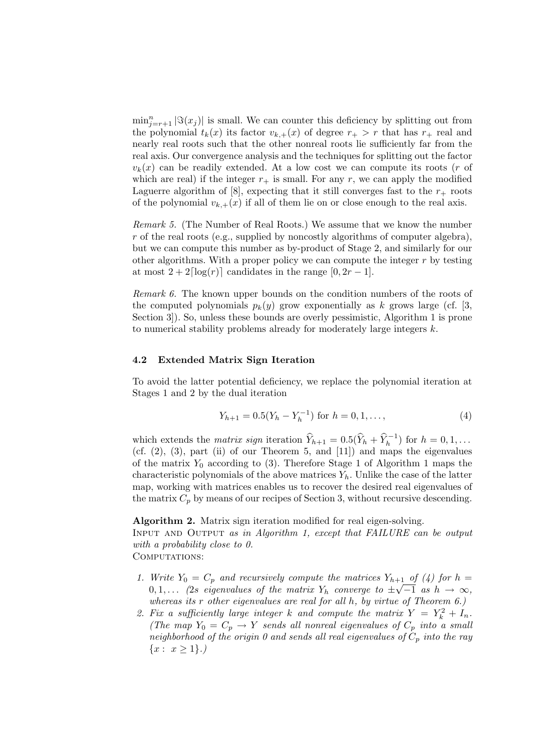$\min_{j=r+1}^n |\Im(x_j)|$  is small. We can counter this deficiency by splitting out from the polynomial  $t_k(x)$  its factor  $v_{k,+}(x)$  of degree  $r_+ > r$  that has  $r_+$  real and nearly real roots such that the other nonreal roots lie sufficiently far from the real axis. Our convergence analysis and the techniques for splitting out the factor  $v_k(x)$  can be readily extended. At a low cost we can compute its roots (*r* of which are real) if the integer  $r_{+}$  is small. For any r, we can apply the modified Laguerre algorithm of [8], expecting that it still converges fast to the  $r_{+}$  roots of the polynomial  $v_{k,+}(x)$  if all of them lie on or close enough to the real axis.

Remark 5. (The Number of Real Roots.) We assume that we know the number r of the real roots (e.g., supplied by noncostly algorithms of computer algebra), but we can compute this number as by-product of Stage 2, and similarly for our other algorithms. With a proper policy we can compute the integer  $r$  by testing at most  $2 + 2\lceil \log(r) \rceil$  candidates in the range  $[0, 2r - 1]$ .

Remark 6. The known upper bounds on the condition numbers of the roots of the computed polynomials  $p_k(y)$  grow exponentially as k grows large (cf. [3, Section 3]). So, unless these bounds are overly pessimistic, Algorithm 1 is prone to numerical stability problems already for moderately large integers k.

#### 4.2 Extended Matrix Sign Iteration

To avoid the latter potential deficiency, we replace the polynomial iteration at Stages 1 and 2 by the dual iteration

$$
Y_{h+1} = 0.5(Y_h - Y_h^{-1}) \text{ for } h = 0, 1, ..., \tag{4}
$$

which extends the *matrix sign* iteration  $\widehat{Y}_{h+1} = 0.5(\widehat{Y}_h + \widehat{Y}_h^{-1})$  for  $h = 0, 1, \ldots$ (cf.  $(2)$ ,  $(3)$ , part  $(ii)$  of our Theorem 5, and  $[11]$ ) and maps the eigenvalues of the matrix  $Y_0$  according to (3). Therefore Stage 1 of Algorithm 1 maps the characteristic polynomials of the above matrices  $Y_h$ . Unlike the case of the latter map, working with matrices enables us to recover the desired real eigenvalues of the matrix  $C_p$  by means of our recipes of Section 3, without recursive descending.

Algorithm 2. Matrix sign iteration modified for real eigen-solving.

Input and Output as in Algorithm 1, except that FAILURE can be output with a probability close to 0.

COMPUTATIONS:

- 1. Write  $Y_0 = C_p$  and recursively compute the matrices  $Y_{h+1}$  of (4) for  $h =$  $0, 1, \ldots$  (2s eigenvalues of the matrix  $Y_h$  converge to  $\pm \sqrt{-1}$  as  $h \to \infty$ , whereas its  $r$  other eigenvalues are real for all  $h$ , by virtue of Theorem  $6$ .)
- 2. Fix a sufficiently large integer k and compute the matrix  $Y = Y_k^2 + I_n$ . (The map  $Y_0 = C_p \rightarrow Y$  sends all nonreal eigenvalues of  $C_p$  into a small neighborhood of the origin 0 and sends all real eigenvalues of  $C_p$  into the ray  ${x : x > 1}.$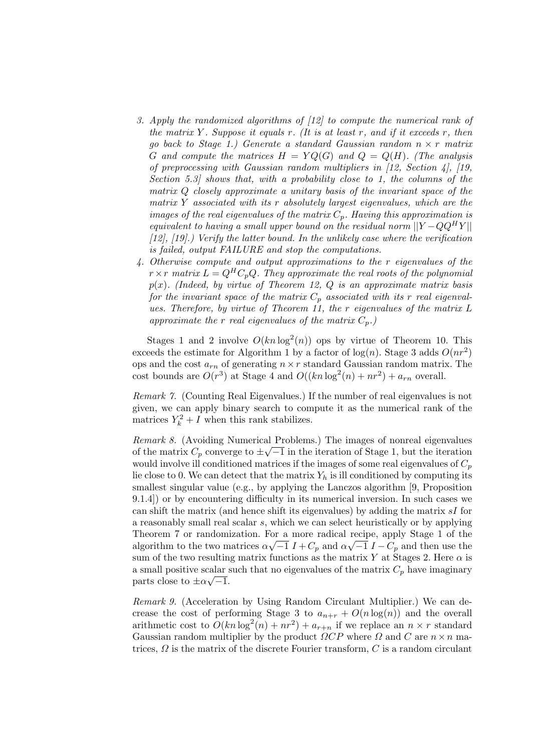- 3. Apply the randomized algorithms of [12] to compute the numerical rank of the matrix Y. Suppose it equals r. (It is at least r, and if it exceeds r, then go back to Stage 1.) Generate a standard Gaussian random  $n \times r$  matrix G and compute the matrices  $H = YQ(G)$  and  $Q = Q(H)$ . (The analysis of preprocessing with Gaussian random multipliers in [12, Section 4], [19, Section 5.3] shows that, with a probability close to 1, the columns of the matrix Q closely approximate a unitary basis of the invariant space of the matrix Y associated with its  $r$  absolutely largest eigenvalues, which are the images of the real eigenvalues of the matrix  $C_p$ . Having this approximation is equivalent to having a small upper bound on the residual norm  $||Y - QQ<sup>H</sup>Y||$  $[12]$ ,  $[19]$ .) Verify the latter bound. In the unlikely case where the verification is failed, output FAILURE and stop the computations.
- 4. Otherwise compute and output approximations to the r eigenvalues of the  $r \times r$  matrix  $L = Q^H C_p Q$ . They approximate the real roots of the polynomial  $p(x)$ . (Indeed, by virtue of Theorem 12, Q is an approximate matrix basis for the invariant space of the matrix  $C_p$  associated with its r real eigenvalues. Therefore, by virtue of Theorem 11, the r eigenvalues of the matrix L approximate the r real eigenvalues of the matrix  $C_p$ .

Stages 1 and 2 involve  $O(kn \log^2(n))$  ops by virtue of Theorem 10. This exceeds the estimate for Algorithm 1 by a factor of  $log(n)$ . Stage 3 adds  $O(nr^2)$ ops and the cost  $a_{rn}$  of generating  $n \times r$  standard Gaussian random matrix. The cost bounds are  $O(r^3)$  at Stage 4 and  $O((kn \log^2(n) + nr^2) + a_{rn}$  overall.

Remark 7. (Counting Real Eigenvalues.) If the number of real eigenvalues is not given, we can apply binary search to compute it as the numerical rank of the matrices  $Y_k^2 + I$  when this rank stabilizes.

Remark 8. (Avoiding Numerical Problems.) The images of nonreal eigenvalues of the matrix  $C_p$  converge to  $\pm \sqrt{-1}$  in the iteration of Stage 1, but the iteration would involve ill conditioned matrices if the images of some real eigenvalues of  $C_p$ lie close to 0. We can detect that the matrix  $Y_h$  is ill conditioned by computing its smallest singular value (e.g., by applying the Lanczos algorithm [9, Proposition 9.1.4]) or by encountering difficulty in its numerical inversion. In such cases we can shift the matrix (and hence shift its eigenvalues) by adding the matrix sI for a reasonably small real scalar s, which we can select heuristically or by applying Theorem 7 or randomization. For a more radical recipe, apply Stage 1 of the algorithm to the two matrices  $\alpha\sqrt{-1} I + C_p$  and  $\alpha\sqrt{-1} I - C_p$  and then use the sum of the two resulting matrix functions as the matrix Y at Stages 2. Here  $\alpha$  is a small positive scalar such that no eigenvalues of the matrix  $C_p$  have imaginary parts close to  $\pm \alpha \sqrt{-1}$ .

Remark 9. (Acceleration by Using Random Circulant Multiplier.) We can decrease the cost of performing Stage 3 to  $a_{n+r} + O(n \log(n))$  and the overall arithmetic cost to  $O(kn \log^2(n) + nr^2) + a_{r+n}$  if we replace an  $n \times r$  standard Gaussian random multiplier by the product  $\Omega CP$  where  $\Omega$  and  $C$  are  $n \times n$  matrices,  $\Omega$  is the matrix of the discrete Fourier transform, C is a random circulant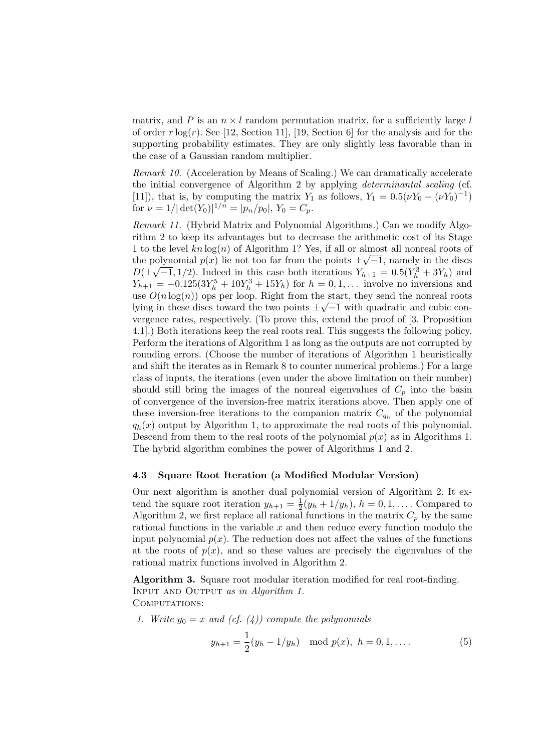matrix, and P is an  $n \times l$  random permutation matrix, for a sufficiently large l of order  $r \log(r)$ . See [12, Section 11], [19, Section 6] for the analysis and for the supporting probability estimates. They are only slightly less favorable than in the case of a Gaussian random multiplier.

Remark 10. (Acceleration by Means of Scaling.) We can dramatically accelerate the initial convergence of Algorithm 2 by applying determinantal scaling (cf. [11]), that is, by computing the matrix  $Y_1$  as follows,  $Y_1 = 0.5(\nu Y_0 - (\nu Y_0)^{-1})$ for  $\nu = 1/|\det(Y_0)|^{1/n} = |p_n/p_0|, Y_0 = C_p.$ 

Remark 11. (Hybrid Matrix and Polynomial Algorithms.) Can we modify Algorithm 2 to keep its advantages but to decrease the arithmetic cost of its Stage 1 to the level  $kn \log(n)$  of Algorithm 1? Yes, if all or almost all nonreal roots of the polynomial  $p(x)$  lie not too far from the points  $\pm \sqrt{-1}$ , namely in the discs  $D(\pm\sqrt{-1},1/2)$ . Indeed in this case both iterations  $Y_{h+1} = 0.5(Y_h^3 + 3Y_h)$  and  $Y_{h+1} = -0.125(3Y_h^5 + 10Y_h^3 + 15Y_h)$  for  $h = 0, 1, ...$  involve no inversions and use  $O(n \log(n))$  ops per loop. Right from the start, they send the nonreal roots lying in these discs toward the two points  $\pm \sqrt{-1}$  with quadratic and cubic convergence rates, respectively. (To prove this, extend the proof of [3, Proposition 4.1].) Both iterations keep the real roots real. This suggests the following policy. Perform the iterations of Algorithm 1 as long as the outputs are not corrupted by rounding errors. (Choose the number of iterations of Algorithm 1 heuristically and shift the iterates as in Remark 8 to counter numerical problems.) For a large class of inputs, the iterations (even under the above limitation on their number) should still bring the images of the nonreal eigenvalues of  $C_p$  into the basin of convergence of the inversion-free matrix iterations above. Then apply one of these inversion-free iterations to the companion matrix  $C_{q_h}$  of the polynomial  $q_h(x)$  output by Algorithm 1, to approximate the real roots of this polynomial. Descend from them to the real roots of the polynomial  $p(x)$  as in Algorithms 1. The hybrid algorithm combines the power of Algorithms 1 and 2.

#### 4.3 Square Root Iteration (a Modified Modular Version)

Our next algorithm is another dual polynomial version of Algorithm 2. It extend the square root iteration  $y_{h+1} = \frac{1}{2}(y_h + 1/y_h)$ ,  $h = 0, 1, \ldots$ . Compared to Algorithm 2, we first replace all rational functions in the matrix  $C_p$  by the same rational functions in the variable  $x$  and then reduce every function modulo the input polynomial  $p(x)$ . The reduction does not affect the values of the functions at the roots of  $p(x)$ , and so these values are precisely the eigenvalues of the rational matrix functions involved in Algorithm 2.

Algorithm 3. Square root modular iteration modified for real root-finding. Input and Output as in Algorithm 1. COMPUTATIONS:

1. Write 
$$
y_0 = x
$$
 and (cf. (4)) compute the polynomials

$$
y_{h+1} = \frac{1}{2}(y_h - 1/y_h) \mod p(x), \ h = 0, 1, .... \tag{5}
$$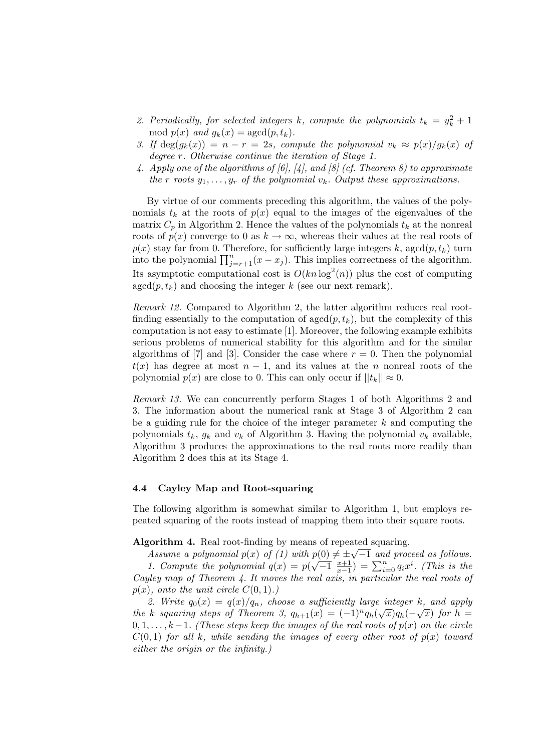- 2. Periodically, for selected integers k, compute the polynomials  $t_k = y_k^2 + 1$ mod  $p(x)$  and  $g_k(x) = \text{agcd}(p, t_k)$ .
- 3. If  $deg(g_k(x)) = n r = 2s$ , compute the polynomial  $v_k \approx p(x)/g_k(x)$  of degree r. Otherwise continue the iteration of Stage 1.
- 4. Apply one of the algorithms of [6], [4], and [8] (cf. Theorem 8) to approximate the r roots  $y_1, \ldots, y_r$  of the polynomial  $v_k$ . Output these approximations.

By virtue of our comments preceding this algorithm, the values of the polynomials  $t_k$  at the roots of  $p(x)$  equal to the images of the eigenvalues of the matrix  $C_p$  in Algorithm 2. Hence the values of the polynomials  $t_k$  at the nonreal roots of  $p(x)$  converge to 0 as  $k \to \infty$ , whereas their values at the real roots of  $p(x)$  stay far from 0. Therefore, for sufficiently large integers k, agcd $(p, t_k)$  turn into the polynomial  $\prod_{j=r+1}^{n}(x-x_j)$ . This implies correctness of the algorithm. Its asymptotic computational cost is  $O(kn\log^2(n))$  plus the cost of computing  $\gcd(p, t_k)$  and choosing the integer k (see our next remark).

Remark 12. Compared to Algorithm 2, the latter algorithm reduces real rootfinding essentially to the computation of  $\gcd(p, t_k)$ , but the complexity of this computation is not easy to estimate [1]. Moreover, the following example exhibits serious problems of numerical stability for this algorithm and for the similar algorithms of [7] and [3]. Consider the case where  $r = 0$ . Then the polynomial  $t(x)$  has degree at most  $n-1$ , and its values at the n nonreal roots of the polynomial  $p(x)$  are close to 0. This can only occur if  $||t_k|| \approx 0$ .

Remark 13. We can concurrently perform Stages 1 of both Algorithms 2 and 3. The information about the numerical rank at Stage 3 of Algorithm 2 can be a guiding rule for the choice of the integer parameter  $k$  and computing the polynomials  $t_k$ ,  $g_k$  and  $v_k$  of Algorithm 3. Having the polynomial  $v_k$  available, Algorithm 3 produces the approximations to the real roots more readily than Algorithm 2 does this at its Stage 4.

#### 4.4 Cayley Map and Root-squaring

The following algorithm is somewhat similar to Algorithm 1, but employs repeated squaring of the roots instead of mapping them into their square roots.

Algorithm 4. Real root-finding by means of repeated squaring.

Assume a polynomial  $p(x)$  of (1) with  $p(0) \neq \pm \sqrt{-1}$  and proceed as follows. 1. Compute the polynomial  $q(x) = p(\sqrt{-1} \frac{x+1}{x-1}) = \sum_{i=0}^{n} q_i x^i$ . (This is the Cayley map of Theorem 4. It moves the real axis, in particular the real roots of  $p(x)$ , onto the unit circle  $C(0, 1)$ .)

2. Write  $q_0(x) = q(x)/q_n$ , choose a sufficiently large integer k, and apply the k squaring steps of Theorem 3,  $q_{h+1}(x) = (-1)^n q_h(\sqrt{x})q_h(-\sqrt{x})$  for  $h =$  $0, 1, \ldots, k-1$ . (These steps keep the images of the real roots of  $p(x)$  on the circle  $C(0, 1)$  for all k, while sending the images of every other root of  $p(x)$  toward either the origin or the infinity.)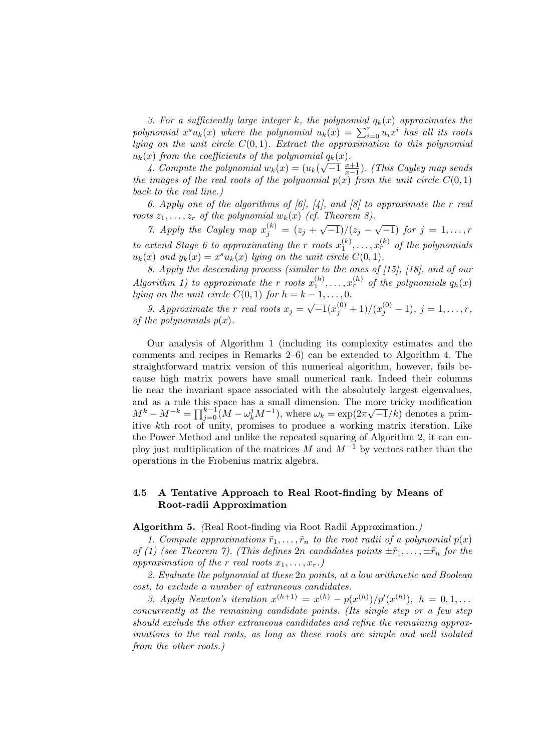3. For a sufficiently large integer k, the polynomial  $q_k(x)$  approximates the polynomial  $x^s u_k(x)$  where the polynomial  $u_k(x) = \sum_{i=0}^r u_i x^i$  has all its roots lying on the unit circle  $C(0, 1)$ . Extract the approximation to this polynomial  $u_k(x)$  from the coefficients of the polynomial  $q_k(x)$ .

4. Compute the polynomial  $w_k(x) = (u_k(\sqrt{-1} \frac{x+1}{x-1})$ . (This Cayley map sends the images of the real roots of the polynomial  $p(x)$  from the unit circle  $C(0, 1)$ back to the real line.)

6. Apply one of the algorithms of  $[6]$ ,  $[4]$ , and  $[8]$  to approximate the r real roots  $z_1, \ldots, z_r$  of the polynomial  $w_k(x)$  (cf. Theorem 8).

7. Apply the Cayley map  $x_j^{(k)} = (z_j + \sqrt{-1})/(z_j - \sqrt{-1})$  for  $j = 1, ..., r$ to extend Stage 6 to approximating the r roots  $x_1^{(k)}, \ldots, x_r^{(k)}$  of the polynomials  $u_k(x)$  and  $y_k(x) = x^s u_k(x)$  lying on the unit circle  $C(0, 1)$ .

8. Apply the descending process (similar to the ones of [15], [18], and of our Algorithm 1) to approximate the r roots  $x_1^{(h)}, \ldots, x_r^{(h)}$  of the polynomials  $q_h(x)$ lying on the unit circle  $C(0, 1)$  for  $h = k - 1, \ldots, 0$ .

9. Approximate the r real roots  $x_j = \sqrt{-1}(x_j^{(0)} + 1)/(x_j^{(0)} - 1), j = 1, ..., r$ , of the polynomials  $p(x)$ .

Our analysis of Algorithm 1 (including its complexity estimates and the comments and recipes in Remarks 2–6) can be extended to Algorithm 4. The straightforward matrix version of this numerical algorithm, however, fails because high matrix powers have small numerical rank. Indeed their columns lie near the invariant space associated with the absolutely largest eigenvalues, and as a rule this space has a small dimension. The more tricky modification and as a rule this space has a small dimension. The more tricky modification  $M^k - M^{-k} = \prod_{j=0}^{k-1} (M - \omega_k^j M^{-1})$ , where  $\omega_k = \exp(2\pi \sqrt{-1}/k)$  denotes a primitive kth root of unity, promises to produce a working matrix iteration. Like the Power Method and unlike the repeated squaring of Algorithm 2, it can employ just multiplication of the matrices M and  $M^{-1}$  by vectors rather than the operations in the Frobenius matrix algebra.

#### 4.5 A Tentative Approach to Real Root-finding by Means of Root-radii Approximation

Algorithm 5. (Real Root-finding via Root Radii Approximation.)

1. Compute approximations  $\tilde{r}_1, \ldots, \tilde{r}_n$  to the root radii of a polynomial  $p(x)$ of (1) (see Theorem 7). (This defines 2n candidates points  $\pm \tilde{r}_1, \ldots, \pm \tilde{r}_n$  for the approximation of the r real roots  $x_1, \ldots, x_r$ .

2. Evaluate the polynomial at these 2n points, at a low arithmetic and Boolean cost, to exclude a number of extraneous candidates.

3. Apply Newton's iteration  $x^{(h+1)} = x^{(h)} - p(x^{(h)})/p'(x^{(h)})$ ,  $h = 0, 1, ...$ concurrently at the remaining candidate points. (Its single step or a few step should exclude the other extraneous candidates and refine the remaining approximations to the real roots, as long as these roots are simple and well isolated from the other roots.)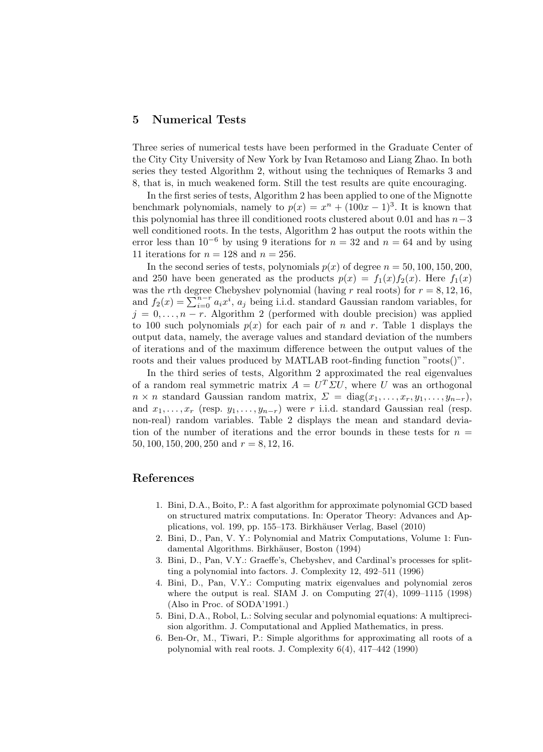### 5 Numerical Tests

Three series of numerical tests have been performed in the Graduate Center of the City City University of New York by Ivan Retamoso and Liang Zhao. In both series they tested Algorithm 2, without using the techniques of Remarks 3 and 8, that is, in much weakened form. Still the test results are quite encouraging.

In the first series of tests, Algorithm 2 has been applied to one of the Mignotte benchmark polynomials, namely to  $p(x) = x^{n} + (100x - 1)^{3}$ . It is known that this polynomial has three ill conditioned roots clustered about 0.01 and has  $n-3$ well conditioned roots. In the tests, Algorithm 2 has output the roots within the error less than 10<sup>-6</sup> by using 9 iterations for  $n = 32$  and  $n = 64$  and by using 11 iterations for  $n = 128$  and  $n = 256$ .

In the second series of tests, polynomials  $p(x)$  of degree  $n = 50, 100, 150, 200$ , and 250 have been generated as the products  $p(x) = f_1(x) f_2(x)$ . Here  $f_1(x)$ was the rth degree Chebyshev polynomial (having r real roots) for  $r = 8, 12, 16$ , and  $f_2(x) = \sum_{i=0}^{n-r} a_i x^i$ ,  $a_j$  being i.i.d. standard Gaussian random variables, for  $j = 0, \ldots, n-r$ . Algorithm 2 (performed with double precision) was applied to 100 such polynomials  $p(x)$  for each pair of n and r. Table 1 displays the output data, namely, the average values and standard deviation of the numbers of iterations and of the maximum difference between the output values of the roots and their values produced by MATLAB root-finding function "roots()".

In the third series of tests, Algorithm 2 approximated the real eigenvalues of a random real symmetric matrix  $A = U^T \Sigma U$ , where U was an orthogonal  $n \times n$  standard Gaussian random matrix,  $\Sigma = \text{diag}(x_1, \ldots, x_r, y_1, \ldots, y_{n-r}),$ and  $x_1, \ldots, x_r$  (resp.  $y_1, \ldots, y_{n-r}$ ) were r i.i.d. standard Gaussian real (resp. non-real) random variables. Table 2 displays the mean and standard deviation of the number of iterations and the error bounds in these tests for  $n =$ 50, 100, 150, 200, 250 and  $r = 8, 12, 16$ .

### References

- 1. Bini, D.A., Boito, P.: A fast algorithm for approximate polynomial GCD based on structured matrix computations. In: Operator Theory: Advances and Applications, vol. 199, pp. 155–173. Birkhäuser Verlag, Basel (2010)
- 2. Bini, D., Pan, V. Y.: Polynomial and Matrix Computations, Volume 1: Fundamental Algorithms. Birkhäuser, Boston (1994)
- 3. Bini, D., Pan, V.Y.: Graeffe's, Chebyshev, and Cardinal's processes for splitting a polynomial into factors. J. Complexity 12, 492–511 (1996)
- 4. Bini, D., Pan, V.Y.: Computing matrix eigenvalues and polynomial zeros where the output is real. SIAM J. on Computing  $27(4)$ ,  $1099-1115$  (1998) (Also in Proc. of SODA'1991.)
- 5. Bini, D.A., Robol, L.: Solving secular and polynomial equations: A multiprecision algorithm. J. Computational and Applied Mathematics, in press.
- 6. Ben-Or, M., Tiwari, P.: Simple algorithms for approximating all roots of a polynomial with real roots. J. Complexity 6(4), 417–442 (1990)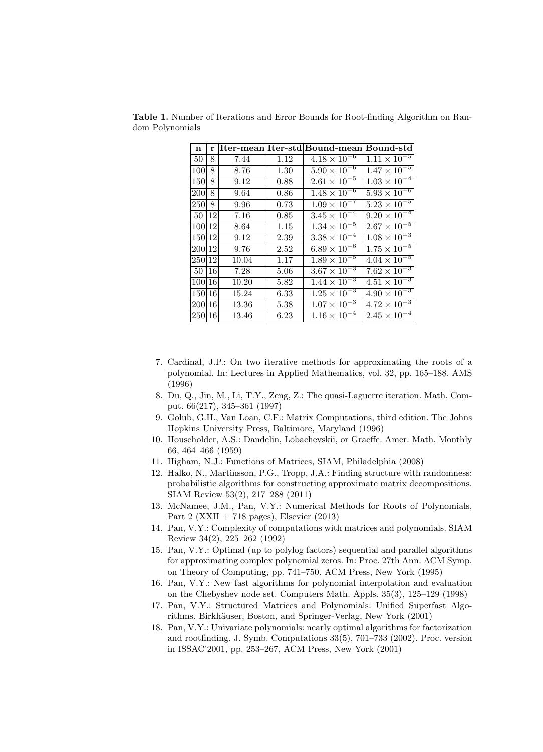| n      | r             |       |      | Iter-mean Iter-std Bound-mean Bound-std |                                  |
|--------|---------------|-------|------|-----------------------------------------|----------------------------------|
| 50     | 8             | 7.44  | 1.12 | $4.18 \times 10^{-6}$                   | $1.11 \times 10^{-5}$            |
| 100    | 8             | 8.76  | 1.30 | $5.90 \times 10^{-6}$                   | $1.47 \times 10^{-5}$            |
| 150    | 8             | 9.12  | 0.88 | $2.61 \times 10^{-5}$                   | $1.03 \times 10^{-4}$            |
| 200    | 8             | 9.64  | 0.86 | $1.48 \times 10^{-6}$                   | $5.93 \times 10^{-6}$            |
| 250    | 8             | 9.96  | 0.73 | $1.09 \times 10^{-7}$                   | $5.23 \times 10^{-5}$            |
| 50     | 12            | 7.16  | 0.85 | $3.45 \times 10^{-4}$                   | $9.20 \times 10^{-4}$            |
| 100 12 |               | 8.64  | 1.15 | $1.34 \times 10^{-5}$                   | $2.\overline{67 \times 10^{-5}}$ |
| 150 12 |               | 9.12  | 2.39 | $3.38 \times 10^{-4}$                   | $1.08 \times 10^{-3}$            |
| 200 12 |               | 9.76  | 2.52 | $6.89 \times 10^{-6}$                   | $1.75 \times 10^{-5}$            |
| 250 12 |               | 10.04 | 1.17 | $1.89 \times 10^{-5}$                   | $4.\overline{04 \times 10^{-5}}$ |
| 50     | <sup>16</sup> | 7.28  | 5.06 | $3.67 \times 10^{-3}$                   | $7.62 \times 10^{-3}$            |
| 100 16 |               | 10.20 | 5.82 | $1.44 \times 10^{-3}$                   | $4.51 \times 10^{-3}$            |
| 150 16 |               | 15.24 | 6.33 | $1.25 \times 10^{-3}$                   | $4.90 \times 10^{-3}$            |
| 200 16 |               | 13.36 | 5.38 | $1.07 \times 10^{-3}$                   | $4.72 \times 10^{-3}$            |
| 250 16 |               | 13.46 | 6.23 | $1.16 \times 10^{-4}$                   | $2.45 \times 10^{-4}$            |

Table 1. Number of Iterations and Error Bounds for Root-finding Algorithm on Random Polynomials

- 7. Cardinal, J.P.: On two iterative methods for approximating the roots of a polynomial. In: Lectures in Applied Mathematics, vol. 32, pp. 165–188. AMS (1996)
- 8. Du, Q., Jin, M., Li, T.Y., Zeng, Z.: The quasi-Laguerre iteration. Math. Comput. 66(217), 345–361 (1997)
- 9. Golub, G.H., Van Loan, C.F.: Matrix Computations, third edition. The Johns Hopkins University Press, Baltimore, Maryland (1996)
- 10. Householder, A.S.: Dandelin, Lobachevskii, or Graeffe. Amer. Math. Monthly 66, 464–466 (1959)
- 11. Higham, N.J.: Functions of Matrices, SIAM, Philadelphia (2008)
- 12. Halko, N., Martinsson, P.G., Tropp, J.A.: Finding structure with randomness: probabilistic algorithms for constructing approximate matrix decompositions. SIAM Review 53(2), 217–288 (2011)
- 13. McNamee, J.M., Pan, V.Y.: Numerical Methods for Roots of Polynomials, Part 2 (XXII + 718 pages), Elsevier  $(2013)$
- 14. Pan, V.Y.: Complexity of computations with matrices and polynomials. SIAM Review 34(2), 225–262 (1992)
- 15. Pan, V.Y.: Optimal (up to polylog factors) sequential and parallel algorithms for approximating complex polynomial zeros. In: Proc. 27th Ann. ACM Symp. on Theory of Computing, pp. 741–750. ACM Press, New York (1995)
- 16. Pan, V.Y.: New fast algorithms for polynomial interpolation and evaluation on the Chebyshev node set. Computers Math. Appls. 35(3), 125–129 (1998)
- 17. Pan, V.Y.: Structured Matrices and Polynomials: Unified Superfast Algorithms. Birkhäuser, Boston, and Springer-Verlag, New York (2001)
- 18. Pan, V.Y.: Univariate polynomials: nearly optimal algorithms for factorization and rootfinding. J. Symb. Computations 33(5), 701–733 (2002). Proc. version in ISSAC'2001, pp. 253–267, ACM Press, New York (2001)